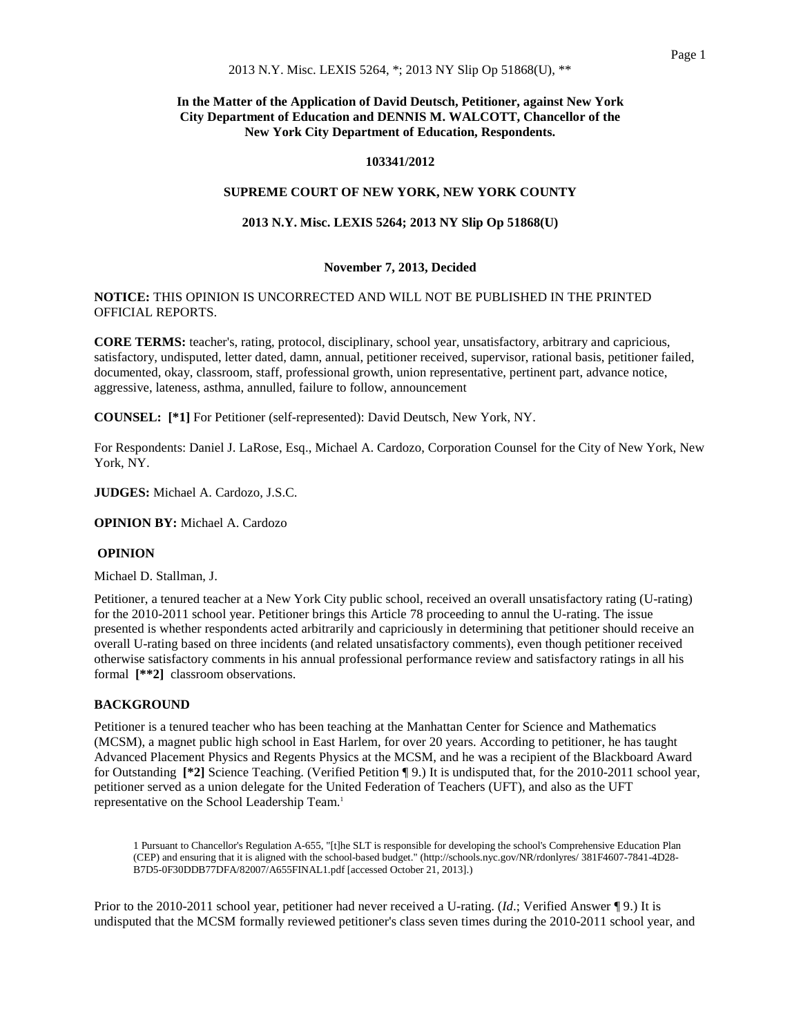# **In the Matter of the Application of David Deutsch, Petitioner, against New York City Department of Education and DENNIS M. WALCOTT, Chancellor of the New York City Department of Education, Respondents.**

## **103341/2012**

### **SUPREME COURT OF NEW YORK, NEW YORK COUNTY**

## **2013 N.Y. Misc. LEXIS 5264; 2013 NY Slip Op 51868(U)**

## **November 7, 2013, Decided**

### **NOTICE:** THIS OPINION IS UNCORRECTED AND WILL NOT BE PUBLISHED IN THE PRINTED OFFICIAL REPORTS.

**CORE TERMS:** teacher's, rating, protocol, disciplinary, school year, unsatisfactory, arbitrary and capricious, satisfactory, undisputed, letter dated, damn, annual, petitioner received, supervisor, rational basis, petitioner failed, documented, okay, classroom, staff, professional growth, union representative, pertinent part, advance notice, aggressive, lateness, asthma, annulled, failure to follow, announcement

**COUNSEL: [\*1]** For Petitioner (self-represented): David Deutsch, New York, NY.

For Respondents: Daniel J. LaRose, Esq., Michael A. Cardozo, Corporation Counsel for the City of New York, New York, NY.

**JUDGES:** Michael A. Cardozo, J.S.C.

**OPINION BY:** Michael A. Cardozo

### **OPINION**

Michael D. Stallman, J.

Petitioner, a tenured teacher at a New York City public school, received an overall unsatisfactory rating (U-rating) for the 2010-2011 school year. Petitioner brings this Article 78 proceeding to annul the U-rating. The issue presented is whether respondents acted arbitrarily and capriciously in determining that petitioner should receive an overall U-rating based on three incidents (and related unsatisfactory comments), even though petitioner received otherwise satisfactory comments in his annual professional performance review and satisfactory ratings in all his formal **[\*\*2]** classroom observations.

### **BACKGROUND**

Petitioner is a tenured teacher who has been teaching at the Manhattan Center for Science and Mathematics (MCSM), a magnet public high school in East Harlem, for over 20 years. According to petitioner, he has taught Advanced Placement Physics and Regents Physics at the MCSM, and he was a recipient of the Blackboard Award for Outstanding **[\*2]** Science Teaching. (Verified Petition ¶ 9.) It is undisputed that, for the 2010-2011 school year, petitioner served as a union delegate for the United Federation of Teachers (UFT), and also as the UFT representative on the School Leadership Team.1

1 Pursuant to Chancellor's Regulation A-655, "[t]he SLT is responsible for developing the school's Comprehensive Education Plan (CEP) and ensuring that it is aligned with the school-based budget." (http://schools.nyc.gov/NR/rdonlyres/ 381F4607-7841-4D28- B7D5-0F30DDB77DFA/82007/A655FINAL1.pdf [accessed October 21, 2013].)

Prior to the 2010-2011 school year, petitioner had never received a U-rating. (*Id.*; Verified Answer ¶ 9.) It is undisputed that the MCSM formally reviewed petitioner's class seven times during the 2010-2011 school year, and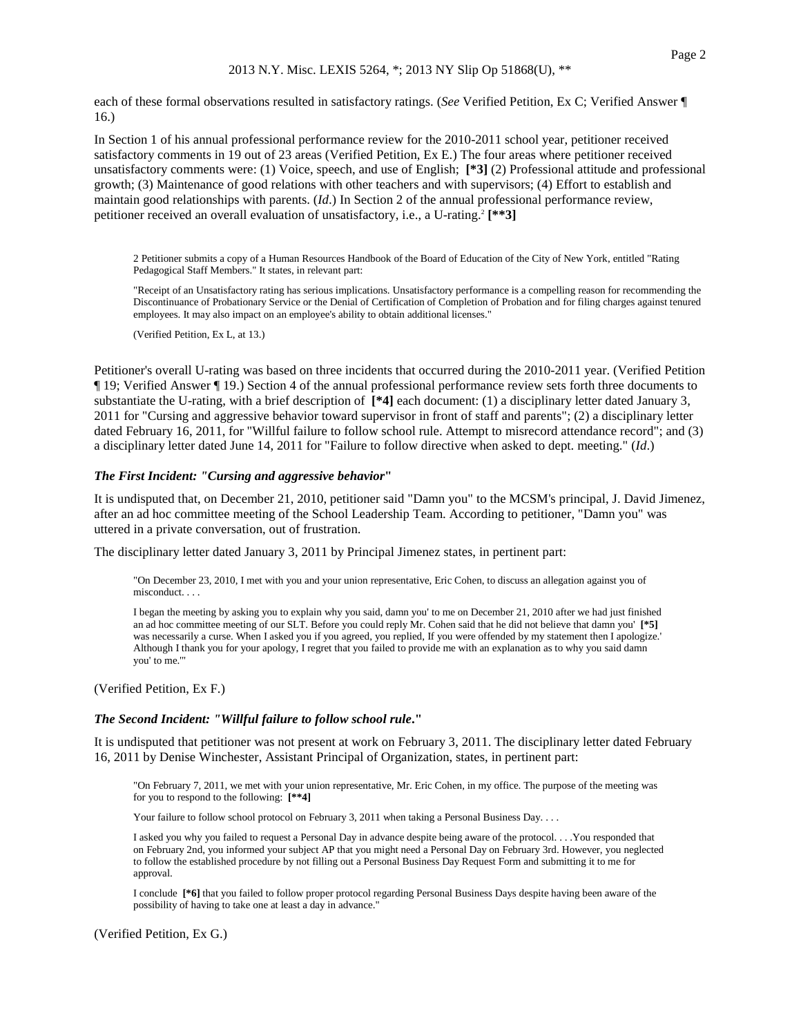each of these formal observations resulted in satisfactory ratings. (*See* Verified Petition, Ex C; Verified Answer ¶ 16.)

In Section 1 of his annual professional performance review for the 2010-2011 school year, petitioner received satisfactory comments in 19 out of 23 areas (Verified Petition, Ex E.) The four areas where petitioner received unsatisfactory comments were: (1) Voice, speech, and use of English; **[\*3]** (2) Professional attitude and professional growth; (3) Maintenance of good relations with other teachers and with supervisors; (4) Effort to establish and maintain good relationships with parents. (*Id*.) In Section 2 of the annual professional performance review, petitioner received an overall evaluation of unsatisfactory, i.e., a U-rating.2 **[\*\*3]**

2 Petitioner submits a copy of a Human Resources Handbook of the Board of Education of the City of New York, entitled "Rating Pedagogical Staff Members." It states, in relevant part:

"Receipt of an Unsatisfactory rating has serious implications. Unsatisfactory performance is a compelling reason for recommending the Discontinuance of Probationary Service or the Denial of Certification of Completion of Probation and for filing charges against tenured employees. It may also impact on an employee's ability to obtain additional licenses."

(Verified Petition, Ex L, at 13.)

Petitioner's overall U-rating was based on three incidents that occurred during the 2010-2011 year. (Verified Petition ¶ 19; Verified Answer ¶ 19.) Section 4 of the annual professional performance review sets forth three documents to substantiate the U-rating, with a brief description of **[\*4]** each document: (1) a disciplinary letter dated January 3, 2011 for "Cursing and aggressive behavior toward supervisor in front of staff and parents"; (2) a disciplinary letter dated February 16, 2011, for "Willful failure to follow school rule. Attempt to misrecord attendance record"; and (3) a disciplinary letter dated June 14, 2011 for "Failure to follow directive when asked to dept. meeting." (*Id*.)

#### *The First Incident: "Cursing and aggressive behavior***"**

It is undisputed that, on December 21, 2010, petitioner said "Damn you" to the MCSM's principal, J. David Jimenez, after an ad hoc committee meeting of the School Leadership Team. According to petitioner, "Damn you" was uttered in a private conversation, out of frustration.

The disciplinary letter dated January 3, 2011 by Principal Jimenez states, in pertinent part:

"On December 23, 2010, I met with you and your union representative, Eric Cohen, to discuss an allegation against you of misconduct. . . .

I began the meeting by asking you to explain why you said, damn you' to me on December 21, 2010 after we had just finished an ad hoc committee meeting of our SLT. Before you could reply Mr. Cohen said that he did not believe that damn you' **[\*5]** was necessarily a curse. When I asked you if you agreed, you replied, If you were offended by my statement then I apologize.' Although I thank you for your apology, I regret that you failed to provide me with an explanation as to why you said damn you' to me.'"

(Verified Petition, Ex F.)

### *The Second Incident: "Willful failure to follow school rule***."**

It is undisputed that petitioner was not present at work on February 3, 2011. The disciplinary letter dated February 16, 2011 by Denise Winchester, Assistant Principal of Organization, states, in pertinent part:

"On February 7, 2011, we met with your union representative, Mr. Eric Cohen, in my office. The purpose of the meeting was for you to respond to the following: **[\*\*4]**

Your failure to follow school protocol on February 3, 2011 when taking a Personal Business Day. . . .

I asked you why you failed to request a Personal Day in advance despite being aware of the protocol. . . .You responded that on February 2nd, you informed your subject AP that you might need a Personal Day on February 3rd. However, you neglected to follow the established procedure by not filling out a Personal Business Day Request Form and submitting it to me for approval.

I conclude **[\*6]** that you failed to follow proper protocol regarding Personal Business Days despite having been aware of the possibility of having to take one at least a day in advance."

(Verified Petition, Ex G.)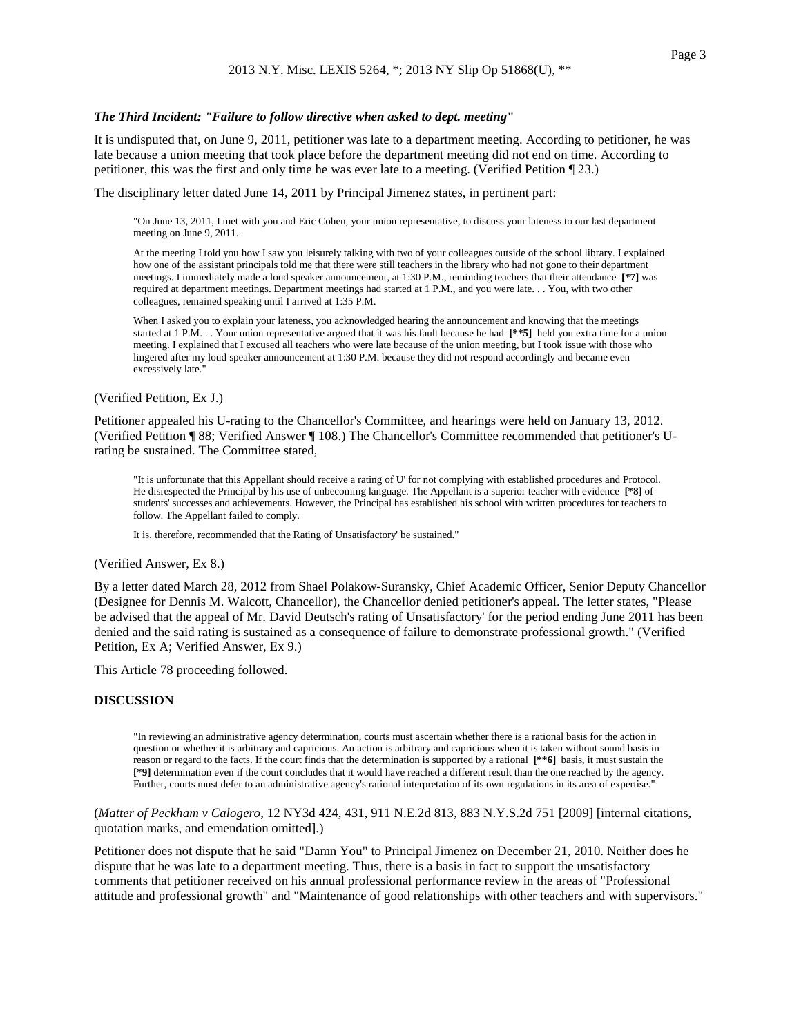#### *The Third Incident: "Failure to follow directive when asked to dept. meeting***"**

It is undisputed that, on June 9, 2011, petitioner was late to a department meeting. According to petitioner, he was late because a union meeting that took place before the department meeting did not end on time. According to petitioner, this was the first and only time he was ever late to a meeting. (Verified Petition ¶ 23.)

The disciplinary letter dated June 14, 2011 by Principal Jimenez states, in pertinent part:

"On June 13, 2011, I met with you and Eric Cohen, your union representative, to discuss your lateness to our last department meeting on June 9, 2011.

At the meeting I told you how I saw you leisurely talking with two of your colleagues outside of the school library. I explained how one of the assistant principals told me that there were still teachers in the library who had not gone to their department meetings. I immediately made a loud speaker announcement, at 1:30 P.M., reminding teachers that their attendance **[\*7]** was required at department meetings. Department meetings had started at 1 P.M., and you were late. . . You, with two other colleagues, remained speaking until I arrived at 1:35 P.M.

When I asked you to explain your lateness, you acknowledged hearing the announcement and knowing that the meetings started at 1 P.M. . . Your union representative argued that it was his fault because he had **[\*\*5]** held you extra time for a union meeting. I explained that I excused all teachers who were late because of the union meeting, but I took issue with those who lingered after my loud speaker announcement at 1:30 P.M. because they did not respond accordingly and became even excessively late."

#### (Verified Petition, Ex J.)

Petitioner appealed his U-rating to the Chancellor's Committee, and hearings were held on January 13, 2012. (Verified Petition ¶ 88; Verified Answer ¶ 108.) The Chancellor's Committee recommended that petitioner's Urating be sustained. The Committee stated,

"It is unfortunate that this Appellant should receive a rating of U' for not complying with established procedures and Protocol. He disrespected the Principal by his use of unbecoming language. The Appellant is a superior teacher with evidence **[\*8]** of students' successes and achievements. However, the Principal has established his school with written procedures for teachers to follow. The Appellant failed to comply.

It is, therefore, recommended that the Rating of Unsatisfactory' be sustained."

#### (Verified Answer, Ex 8.)

By a letter dated March 28, 2012 from Shael Polakow-Suransky, Chief Academic Officer, Senior Deputy Chancellor (Designee for Dennis M. Walcott, Chancellor), the Chancellor denied petitioner's appeal. The letter states, "Please be advised that the appeal of Mr. David Deutsch's rating of Unsatisfactory' for the period ending June 2011 has been denied and the said rating is sustained as a consequence of failure to demonstrate professional growth." (Verified Petition, Ex A; Verified Answer, Ex 9.)

This Article 78 proceeding followed.

#### **DISCUSSION**

"In reviewing an administrative agency determination, courts must ascertain whether there is a rational basis for the action in question or whether it is arbitrary and capricious. An action is arbitrary and capricious when it is taken without sound basis in reason or regard to the facts. If the court finds that the determination is supported by a rational **[\*\*6]** basis, it must sustain the **[\*9]** determination even if the court concludes that it would have reached a different result than the one reached by the agency. Further, courts must defer to an administrative agency's rational interpretation of its own regulations in its area of expertise."

## (*Matter of Peckham v Calogero*, 12 NY3d 424, 431, 911 N.E.2d 813, 883 N.Y.S.2d 751 [2009] [internal citations, quotation marks, and emendation omitted].)

Petitioner does not dispute that he said "Damn You" to Principal Jimenez on December 21, 2010. Neither does he dispute that he was late to a department meeting. Thus, there is a basis in fact to support the unsatisfactory comments that petitioner received on his annual professional performance review in the areas of "Professional attitude and professional growth" and "Maintenance of good relationships with other teachers and with supervisors."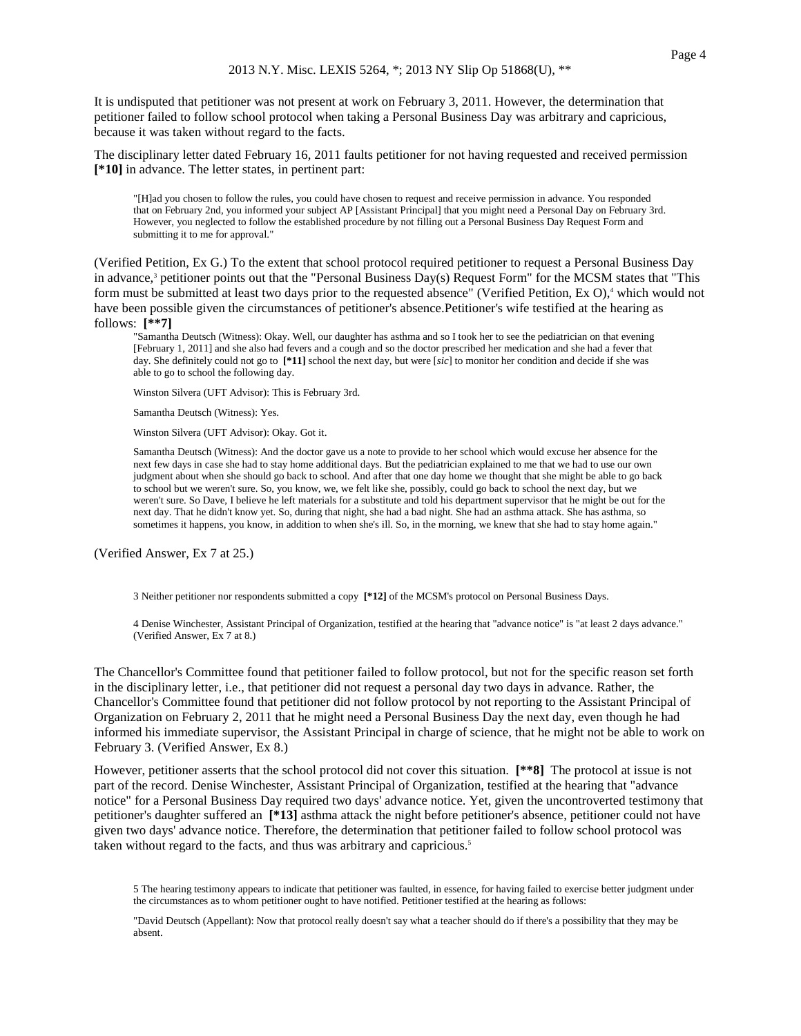It is undisputed that petitioner was not present at work on February 3, 2011. However, the determination that petitioner failed to follow school protocol when taking a Personal Business Day was arbitrary and capricious, because it was taken without regard to the facts.

The disciplinary letter dated February 16, 2011 faults petitioner for not having requested and received permission **[\*10]** in advance. The letter states, in pertinent part:

"[H]ad you chosen to follow the rules, you could have chosen to request and receive permission in advance. You responded that on February 2nd, you informed your subject AP [Assistant Principal] that you might need a Personal Day on February 3rd. However, you neglected to follow the established procedure by not filling out a Personal Business Day Request Form and submitting it to me for approval."

(Verified Petition, Ex G.) To the extent that school protocol required petitioner to request a Personal Business Day in advance,<sup>3</sup> petitioner points out that the "Personal Business Day(s) Request Form" for the MCSM states that "This form must be submitted at least two days prior to the requested absence" (Verified Petition, Ex O),<sup>4</sup> which would not have been possible given the circumstances of petitioner's absence.Petitioner's wife testified at the hearing as follows: **[\*\*7]**

"Samantha Deutsch (Witness): Okay. Well, our daughter has asthma and so I took her to see the pediatrician on that evening [February 1, 2011] and she also had fevers and a cough and so the doctor prescribed her medication and she had a fever that day. She definitely could not go to **[\*11]** school the next day, but were [*sic*] to monitor her condition and decide if she was able to go to school the following day.

Winston Silvera (UFT Advisor): This is February 3rd.

Samantha Deutsch (Witness): Yes.

Winston Silvera (UFT Advisor): Okay. Got it.

Samantha Deutsch (Witness): And the doctor gave us a note to provide to her school which would excuse her absence for the next few days in case she had to stay home additional days. But the pediatrician explained to me that we had to use our own judgment about when she should go back to school. And after that one day home we thought that she might be able to go back to school but we weren't sure. So, you know, we, we felt like she, possibly, could go back to school the next day, but we weren't sure. So Dave, I believe he left materials for a substitute and told his department supervisor that he might be out for the next day. That he didn't know yet. So, during that night, she had a bad night. She had an asthma attack. She has asthma, so sometimes it happens, you know, in addition to when she's ill. So, in the morning, we knew that she had to stay home again."

(Verified Answer, Ex 7 at 25.)

3 Neither petitioner nor respondents submitted a copy **[\*12]** of the MCSM's protocol on Personal Business Days.

4 Denise Winchester, Assistant Principal of Organization, testified at the hearing that "advance notice" is "at least 2 days advance." (Verified Answer, Ex 7 at 8.)

The Chancellor's Committee found that petitioner failed to follow protocol, but not for the specific reason set forth in the disciplinary letter, i.e., that petitioner did not request a personal day two days in advance. Rather, the Chancellor's Committee found that petitioner did not follow protocol by not reporting to the Assistant Principal of Organization on February 2, 2011 that he might need a Personal Business Day the next day, even though he had informed his immediate supervisor, the Assistant Principal in charge of science, that he might not be able to work on February 3. (Verified Answer, Ex 8.)

However, petitioner asserts that the school protocol did not cover this situation. **[\*\*8]** The protocol at issue is not part of the record. Denise Winchester, Assistant Principal of Organization, testified at the hearing that "advance notice" for a Personal Business Day required two days' advance notice. Yet, given the uncontroverted testimony that petitioner's daughter suffered an **[\*13]** asthma attack the night before petitioner's absence, petitioner could not have given two days' advance notice. Therefore, the determination that petitioner failed to follow school protocol was taken without regard to the facts, and thus was arbitrary and capricious.5

<sup>5</sup> The hearing testimony appears to indicate that petitioner was faulted, in essence, for having failed to exercise better judgment under the circumstances as to whom petitioner ought to have notified. Petitioner testified at the hearing as follows:

<sup>&</sup>quot;David Deutsch (Appellant): Now that protocol really doesn't say what a teacher should do if there's a possibility that they may be absent.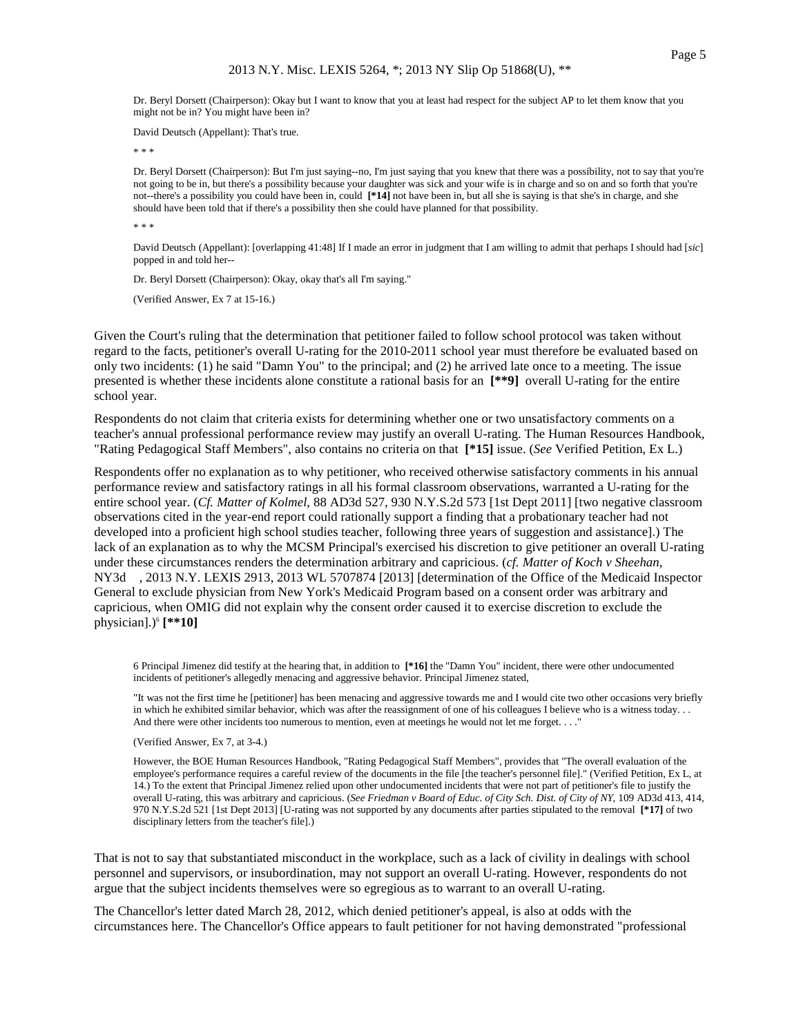Dr. Beryl Dorsett (Chairperson): Okay but I want to know that you at least had respect for the subject AP to let them know that you might not be in? You might have been in?

David Deutsch (Appellant): That's true.

\* \* \*

Dr. Beryl Dorsett (Chairperson): But I'm just saying--no, I'm just saying that you knew that there was a possibility, not to say that you're not going to be in, but there's a possibility because your daughter was sick and your wife is in charge and so on and so forth that you're not--there's a possibility you could have been in, could **[\*14]** not have been in, but all she is saying is that she's in charge, and she should have been told that if there's a possibility then she could have planned for that possibility.

\* \* \*

David Deutsch (Appellant): [overlapping 41:48] If I made an error in judgment that I am willing to admit that perhaps I should had [*sic*] popped in and told her--

Dr. Beryl Dorsett (Chairperson): Okay, okay that's all I'm saying."

(Verified Answer, Ex 7 at 15-16.)

Given the Court's ruling that the determination that petitioner failed to follow school protocol was taken without regard to the facts, petitioner's overall U-rating for the 2010-2011 school year must therefore be evaluated based on only two incidents: (1) he said "Damn You" to the principal; and (2) he arrived late once to a meeting. The issue presented is whether these incidents alone constitute a rational basis for an **[\*\*9]** overall U-rating for the entire school year.

Respondents do not claim that criteria exists for determining whether one or two unsatisfactory comments on a teacher's annual professional performance review may justify an overall U-rating. The Human Resources Handbook, "Rating Pedagogical Staff Members", also contains no criteria on that **[\*15]** issue. (*See* Verified Petition, Ex L.)

Respondents offer no explanation as to why petitioner, who received otherwise satisfactory comments in his annual performance review and satisfactory ratings in all his formal classroom observations, warranted a U-rating for the entire school year. (*Cf. Matter of Kolmel*, 88 AD3d 527, 930 N.Y.S.2d 573 [1st Dept 2011] [two negative classroom observations cited in the year-end report could rationally support a finding that a probationary teacher had not developed into a proficient high school studies teacher, following three years of suggestion and assistance].) The lack of an explanation as to why the MCSM Principal's exercised his discretion to give petitioner an overall U-rating under these circumstances renders the determination arbitrary and capricious. (*cf. Matter of Koch v Sheehan*, NY3d , 2013 N.Y. LEXIS 2913, 2013 WL 5707874 [2013] [determination of the Office of the Medicaid Inspector General to exclude physician from New York's Medicaid Program based on a consent order was arbitrary and capricious, when OMIG did not explain why the consent order caused it to exercise discretion to exclude the physician].)<sup>6</sup>  $[**10]$ 

6 Principal Jimenez did testify at the hearing that, in addition to **[\*16]** the "Damn You" incident, there were other undocumented incidents of petitioner's allegedly menacing and aggressive behavior. Principal Jimenez stated,

"It was not the first time he [petitioner] has been menacing and aggressive towards me and I would cite two other occasions very briefly in which he exhibited similar behavior, which was after the reassignment of one of his colleagues I believe who is a witness today. . . And there were other incidents too numerous to mention, even at meetings he would not let me forget. . . ."

(Verified Answer, Ex 7, at 3-4.)

However, the BOE Human Resources Handbook, "Rating Pedagogical Staff Members", provides that "The overall evaluation of the employee's performance requires a careful review of the documents in the file [the teacher's personnel file]." (Verified Petition, Ex L, at 14.) To the extent that Principal Jimenez relied upon other undocumented incidents that were not part of petitioner's file to justify the overall U-rating, this was arbitrary and capricious. (*See Friedman v Board of Educ. of City Sch. Dist. of City of NY*, 109 AD3d 413, 414, 970 N.Y.S.2d 521 [1st Dept 2013] [U-rating was not supported by any documents after parties stipulated to the removal **[\*17]** of two disciplinary letters from the teacher's file].)

That is not to say that substantiated misconduct in the workplace, such as a lack of civility in dealings with school personnel and supervisors, or insubordination, may not support an overall U-rating. However, respondents do not argue that the subject incidents themselves were so egregious as to warrant to an overall U-rating.

The Chancellor's letter dated March 28, 2012, which denied petitioner's appeal, is also at odds with the circumstances here. The Chancellor's Office appears to fault petitioner for not having demonstrated "professional